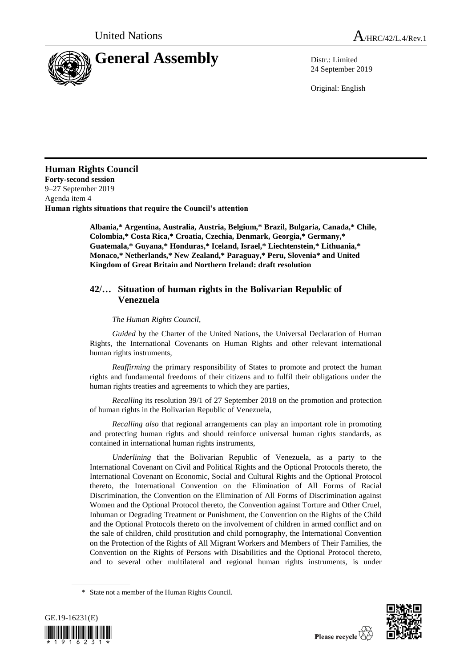

24 September 2019

Original: English

## **Human Rights Council**

**Forty-second session** 9–27 September 2019 Agenda item 4 **Human rights situations that require the Council's attention**

> **Albania,\* Argentina, Australia, Austria, Belgium,\* Brazil, Bulgaria, Canada,\* Chile, Colombia,\* Costa Rica,\* Croatia, Czechia, Denmark, Georgia,\* Germany,\* Guatemala,\* Guyana,\* Honduras,\* Iceland, Israel,\* Liechtenstein,\* Lithuania,\* Monaco,\* Netherlands,\* New Zealand,\* Paraguay,\* Peru, Slovenia\* and United Kingdom of Great Britain and Northern Ireland: draft resolution**

## **42/… Situation of human rights in the Bolivarian Republic of Venezuela**

## *The Human Rights Council*,

*Guided* by the Charter of the United Nations, the Universal Declaration of Human Rights, the International Covenants on Human Rights and other relevant international human rights instruments,

*Reaffirming* the primary responsibility of States to promote and protect the human rights and fundamental freedoms of their citizens and to fulfil their obligations under the human rights treaties and agreements to which they are parties,

*Recalling* its resolution 39/1 of 27 September 2018 on the promotion and protection of human rights in the Bolivarian Republic of Venezuela,

*Recalling also* that regional arrangements can play an important role in promoting and protecting human rights and should reinforce universal human rights standards, as contained in international human rights instruments,

*Underlining* that the Bolivarian Republic of Venezuela, as a party to the International Covenant on Civil and Political Rights and the Optional Protocols thereto, the International Covenant on Economic, Social and Cultural Rights and the Optional Protocol thereto, the International Convention on the Elimination of All Forms of Racial Discrimination, the Convention on the Elimination of All Forms of Discrimination against Women and the Optional Protocol thereto, the Convention against Torture and Other Cruel, Inhuman or Degrading Treatment or Punishment, the Convention on the Rights of the Child and the Optional Protocols thereto on the involvement of children in armed conflict and on the sale of children, child prostitution and child pornography, the International Convention on the Protection of the Rights of All Migrant Workers and Members of Their Families, the Convention on the Rights of Persons with Disabilities and the Optional Protocol thereto, and to several other multilateral and regional human rights instruments, is under

<sup>\*</sup> State not a member of the Human Rights Council.



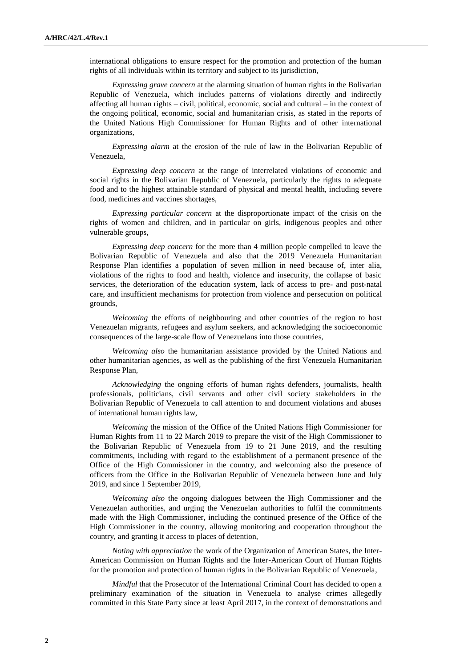international obligations to ensure respect for the promotion and protection of the human rights of all individuals within its territory and subject to its jurisdiction,

*Expressing grave concern* at the alarming situation of human rights in the Bolivarian Republic of Venezuela, which includes patterns of violations directly and indirectly affecting all human rights – civil, political, economic, social and cultural – in the context of the ongoing political, economic, social and humanitarian crisis, as stated in the reports of the United Nations High Commissioner for Human Rights and of other international organizations,

*Expressing alarm* at the erosion of the rule of law in the Bolivarian Republic of Venezuela,

*Expressing deep concern* at the range of interrelated violations of economic and social rights in the Bolivarian Republic of Venezuela, particularly the rights to adequate food and to the highest attainable standard of physical and mental health, including severe food, medicines and vaccines shortages,

*Expressing particular concern* at the disproportionate impact of the crisis on the rights of women and children, and in particular on girls, indigenous peoples and other vulnerable groups,

*Expressing deep concern* for the more than 4 million people compelled to leave the Bolivarian Republic of Venezuela and also that the 2019 Venezuela Humanitarian Response Plan identifies a population of seven million in need because of, inter alia, violations of the rights to food and health, violence and insecurity, the collapse of basic services, the deterioration of the education system, lack of access to pre- and post-natal care, and insufficient mechanisms for protection from violence and persecution on political grounds,

*Welcoming* the efforts of neighbouring and other countries of the region to host Venezuelan migrants, refugees and asylum seekers, and acknowledging the socioeconomic consequences of the large-scale flow of Venezuelans into those countries,

*Welcoming also* the humanitarian assistance provided by the United Nations and other humanitarian agencies, as well as the publishing of the first Venezuela Humanitarian Response Plan,

*Acknowledging* the ongoing efforts of human rights defenders, journalists, health professionals, politicians, civil servants and other civil society stakeholders in the Bolivarian Republic of Venezuela to call attention to and document violations and abuses of international human rights law,

*Welcoming* the mission of the Office of the United Nations High Commissioner for Human Rights from 11 to 22 March 2019 to prepare the visit of the High Commissioner to the Bolivarian Republic of Venezuela from 19 to 21 June 2019, and the resulting commitments, including with regard to the establishment of a permanent presence of the Office of the High Commissioner in the country, and welcoming also the presence of officers from the Office in the Bolivarian Republic of Venezuela between June and July 2019, and since 1 September 2019,

*Welcoming also* the ongoing dialogues between the High Commissioner and the Venezuelan authorities, and urging the Venezuelan authorities to fulfil the commitments made with the High Commissioner, including the continued presence of the Office of the High Commissioner in the country, allowing monitoring and cooperation throughout the country, and granting it access to places of detention,

*Noting with appreciation* the work of the Organization of American States, the Inter-American Commission on Human Rights and the Inter-American Court of Human Rights for the promotion and protection of human rights in the Bolivarian Republic of Venezuela,

*Mindful* that the Prosecutor of the International Criminal Court has decided to open a preliminary examination of the situation in Venezuela to analyse crimes allegedly committed in this State Party since at least April 2017, in the context of demonstrations and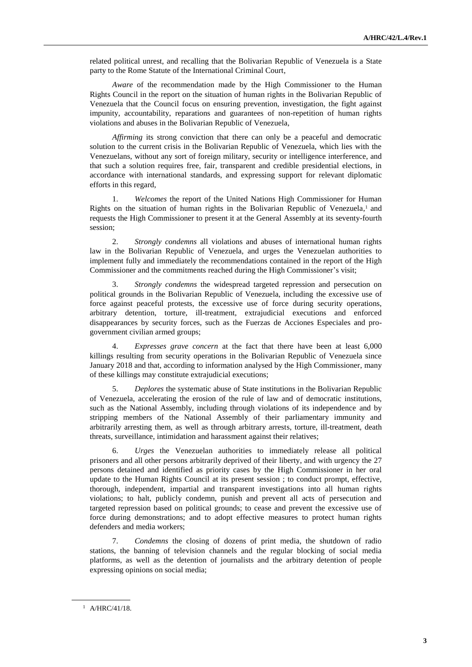related political unrest, and recalling that the Bolivarian Republic of Venezuela is a State party to the Rome Statute of the International Criminal Court,

*Aware* of the recommendation made by the High Commissioner to the Human Rights Council in the report on the situation of human rights in the Bolivarian Republic of Venezuela that the Council focus on ensuring prevention, investigation, the fight against impunity, accountability, reparations and guarantees of non-repetition of human rights violations and abuses in the Bolivarian Republic of Venezuela,

*Affirming* its strong conviction that there can only be a peaceful and democratic solution to the current crisis in the Bolivarian Republic of Venezuela, which lies with the Venezuelans, without any sort of foreign military, security or intelligence interference, and that such a solution requires free, fair, transparent and credible presidential elections, in accordance with international standards, and expressing support for relevant diplomatic efforts in this regard,

1. *Welcomes* the report of the United Nations High Commissioner for Human Rights on the situation of human rights in the Bolivarian Republic of Venezuela, <sup>1</sup> and requests the High Commissioner to present it at the General Assembly at its seventy-fourth session;

2. *Strongly condemns* all violations and abuses of international human rights law in the Bolivarian Republic of Venezuela, and urges the Venezuelan authorities to implement fully and immediately the recommendations contained in the report of the High Commissioner and the commitments reached during the High Commissioner's visit;

3. *Strongly condemns* the widespread targeted repression and persecution on political grounds in the Bolivarian Republic of Venezuela, including the excessive use of force against peaceful protests, the excessive use of force during security operations, arbitrary detention, torture, ill-treatment, extrajudicial executions and enforced disappearances by security forces, such as the Fuerzas de Acciones Especiales and progovernment civilian armed groups;

4. *Expresses grave concern* at the fact that there have been at least 6,000 killings resulting from security operations in the Bolivarian Republic of Venezuela since January 2018 and that, according to information analysed by the High Commissioner, many of these killings may constitute extrajudicial executions;

5. *Deplores* the systematic abuse of State institutions in the Bolivarian Republic of Venezuela, accelerating the erosion of the rule of law and of democratic institutions, such as the National Assembly, including through violations of its independence and by stripping members of the National Assembly of their parliamentary immunity and arbitrarily arresting them, as well as through arbitrary arrests, torture, ill-treatment, death threats, surveillance, intimidation and harassment against their relatives;

6. *Urges* the Venezuelan authorities to immediately release all political prisoners and all other persons arbitrarily deprived of their liberty, and with urgency the 27 persons detained and identified as priority cases by the High Commissioner in her oral update to the Human Rights Council at its present session ; to conduct prompt, effective, thorough, independent, impartial and transparent investigations into all human rights violations; to halt, publicly condemn, punish and prevent all acts of persecution and targeted repression based on political grounds; to cease and prevent the excessive use of force during demonstrations; and to adopt effective measures to protect human rights defenders and media workers;

7. *Condemns* the closing of dozens of print media, the shutdown of radio stations, the banning of television channels and the regular blocking of social media platforms, as well as the detention of journalists and the arbitrary detention of people expressing opinions on social media;

<sup>1</sup> A/HRC/41/18.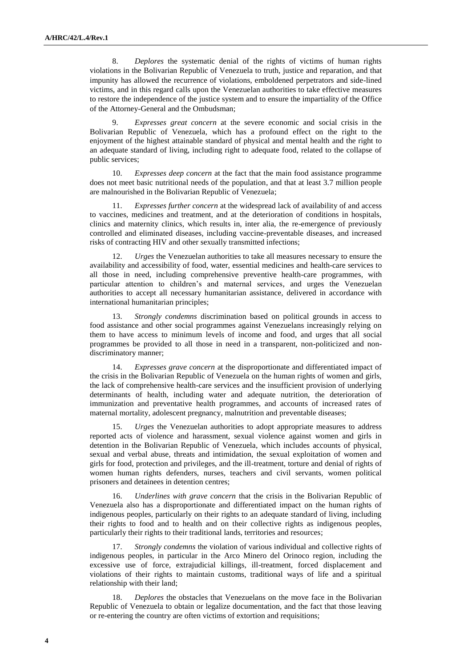8. *Deplores* the systematic denial of the rights of victims of human rights violations in the Bolivarian Republic of Venezuela to truth, justice and reparation, and that impunity has allowed the recurrence of violations, emboldened perpetrators and side-lined victims, and in this regard calls upon the Venezuelan authorities to take effective measures to restore the independence of the justice system and to ensure the impartiality of the Office of the Attorney-General and the Ombudsman;

9. *Expresses great concern* at the severe economic and social crisis in the Bolivarian Republic of Venezuela, which has a profound effect on the right to the enjoyment of the highest attainable standard of physical and mental health and the right to an adequate standard of living, including right to adequate food, related to the collapse of public services;

10. *Expresses deep concern* at the fact that the main food assistance programme does not meet basic nutritional needs of the population, and that at least 3.7 million people are malnourished in the Bolivarian Republic of Venezuela;

11. *Expresses further concern* at the widespread lack of availability of and access to vaccines, medicines and treatment, and at the deterioration of conditions in hospitals, clinics and maternity clinics, which results in, inter alia, the re-emergence of previously controlled and eliminated diseases, including vaccine-preventable diseases, and increased risks of contracting HIV and other sexually transmitted infections;

12. *Urges* the Venezuelan authorities to take all measures necessary to ensure the availability and accessibility of food, water, essential medicines and health-care services to all those in need, including comprehensive preventive health-care programmes, with particular attention to children's and maternal services, and urges the Venezuelan authorities to accept all necessary humanitarian assistance, delivered in accordance with international humanitarian principles;

13. *Strongly condemns* discrimination based on political grounds in access to food assistance and other social programmes against Venezuelans increasingly relying on them to have access to minimum levels of income and food, and urges that all social programmes be provided to all those in need in a transparent, non-politicized and nondiscriminatory manner;

14. *Expresses grave concern* at the disproportionate and differentiated impact of the crisis in the Bolivarian Republic of Venezuela on the human rights of women and girls, the lack of comprehensive health-care services and the insufficient provision of underlying determinants of health, including water and adequate nutrition, the deterioration of immunization and preventative health programmes, and accounts of increased rates of maternal mortality, adolescent pregnancy, malnutrition and preventable diseases;

15. *Urges* the Venezuelan authorities to adopt appropriate measures to address reported acts of violence and harassment, sexual violence against women and girls in detention in the Bolivarian Republic of Venezuela, which includes accounts of physical, sexual and verbal abuse, threats and intimidation, the sexual exploitation of women and girls for food, protection and privileges, and the ill-treatment, torture and denial of rights of women human rights defenders, nurses, teachers and civil servants, women political prisoners and detainees in detention centres;

16. *Underlines with grave concern* that the crisis in the Bolivarian Republic of Venezuela also has a disproportionate and differentiated impact on the human rights of indigenous peoples, particularly on their rights to an adequate standard of living, including their rights to food and to health and on their collective rights as indigenous peoples, particularly their rights to their traditional lands, territories and resources;

*Strongly condemns* the violation of various individual and collective rights of indigenous peoples, in particular in the Arco Minero del Orinoco region, including the excessive use of force, extrajudicial killings, ill-treatment, forced displacement and violations of their rights to maintain customs, traditional ways of life and a spiritual relationship with their land;

18. *Deplores* the obstacles that Venezuelans on the move face in the Bolivarian Republic of Venezuela to obtain or legalize documentation, and the fact that those leaving or re-entering the country are often victims of extortion and requisitions;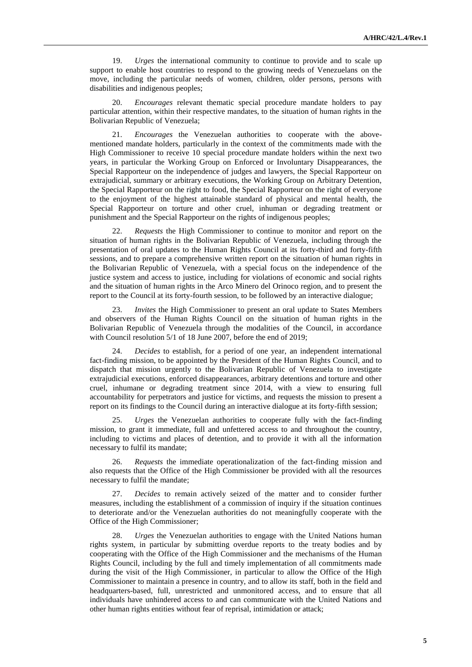19. *Urges* the international community to continue to provide and to scale up support to enable host countries to respond to the growing needs of Venezuelans on the move, including the particular needs of women, children, older persons, persons with disabilities and indigenous peoples;

20. *Encourages* relevant thematic special procedure mandate holders to pay particular attention, within their respective mandates, to the situation of human rights in the Bolivarian Republic of Venezuela;

21. *Encourages* the Venezuelan authorities to cooperate with the abovementioned mandate holders, particularly in the context of the commitments made with the High Commissioner to receive 10 special procedure mandate holders within the next two years, in particular the Working Group on Enforced or Involuntary Disappearances, the Special Rapporteur on the independence of judges and lawyers, the Special Rapporteur on extrajudicial, summary or arbitrary executions, the Working Group on Arbitrary Detention, the Special Rapporteur on the right to food, the Special Rapporteur on the right of everyone to the enjoyment of the highest attainable standard of physical and mental health, the Special Rapporteur on torture and other cruel, inhuman or degrading treatment or punishment and the Special Rapporteur on the rights of indigenous peoples;

22. *Requests* the High Commissioner to continue to monitor and report on the situation of human rights in the Bolivarian Republic of Venezuela, including through the presentation of oral updates to the Human Rights Council at its forty-third and forty-fifth sessions, and to prepare a comprehensive written report on the situation of human rights in the Bolivarian Republic of Venezuela, with a special focus on the independence of the justice system and access to justice, including for violations of economic and social rights and the situation of human rights in the Arco Minero del Orinoco region, and to present the report to the Council at its forty-fourth session, to be followed by an interactive dialogue;

*Invites* the High Commissioner to present an oral update to States Members and observers of the Human Rights Council on the situation of human rights in the Bolivarian Republic of Venezuela through the modalities of the Council, in accordance with Council resolution 5/1 of 18 June 2007, before the end of 2019;

24. *Decides* to establish, for a period of one year, an independent international fact-finding mission, to be appointed by the President of the Human Rights Council, and to dispatch that mission urgently to the Bolivarian Republic of Venezuela to investigate extrajudicial executions, enforced disappearances, arbitrary detentions and torture and other cruel, inhumane or degrading treatment since 2014, with a view to ensuring full accountability for perpetrators and justice for victims, and requests the mission to present a report on its findings to the Council during an interactive dialogue at its forty-fifth session;

25. *Urges* the Venezuelan authorities to cooperate fully with the fact-finding mission, to grant it immediate, full and unfettered access to and throughout the country, including to victims and places of detention, and to provide it with all the information necessary to fulfil its mandate;

26. *Requests* the immediate operationalization of the fact-finding mission and also requests that the Office of the High Commissioner be provided with all the resources necessary to fulfil the mandate;

27. *Decides* to remain actively seized of the matter and to consider further measures, including the establishment of a commission of inquiry if the situation continues to deteriorate and/or the Venezuelan authorities do not meaningfully cooperate with the Office of the High Commissioner;

28. *Urges* the Venezuelan authorities to engage with the United Nations human rights system, in particular by submitting overdue reports to the treaty bodies and by cooperating with the Office of the High Commissioner and the mechanisms of the Human Rights Council, including by the full and timely implementation of all commitments made during the visit of the High Commissioner, in particular to allow the Office of the High Commissioner to maintain a presence in country, and to allow its staff, both in the field and headquarters-based, full, unrestricted and unmonitored access, and to ensure that all individuals have unhindered access to and can communicate with the United Nations and other human rights entities without fear of reprisal, intimidation or attack;